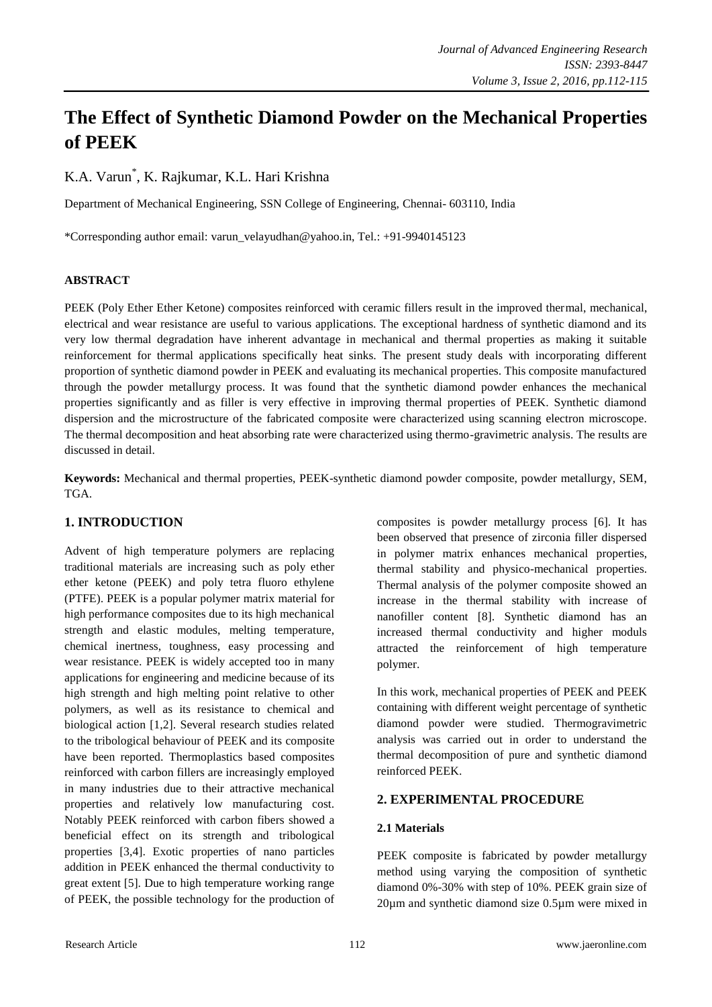# **The Effect of Synthetic Diamond Powder on the Mechanical Properties of PEEK**

K.A. Varun\* , K. Rajkumar, K.L. Hari Krishna

Department of Mechanical Engineering, SSN College of Engineering, Chennai- 603110, India

\*Corresponding author email: varun\_velayudhan@yahoo.in, Tel.: +91-9940145123

# **ABSTRACT**

PEEK (Poly Ether Ether Ketone) composites reinforced with ceramic fillers result in the improved thermal, mechanical, electrical and wear resistance are useful to various applications. The exceptional hardness of synthetic diamond and its very low thermal degradation have inherent advantage in mechanical and thermal properties as making it suitable reinforcement for thermal applications specifically heat sinks. The present study deals with incorporating different proportion of synthetic diamond powder in PEEK and evaluating its mechanical properties. This composite manufactured through the powder metallurgy process. It was found that the synthetic diamond powder enhances the mechanical properties significantly and as filler is very effective in improving thermal properties of PEEK. Synthetic diamond dispersion and the microstructure of the fabricated composite were characterized using scanning electron microscope. The thermal decomposition and heat absorbing rate were characterized using thermo-gravimetric analysis. The results are discussed in detail.

**Keywords:** Mechanical and thermal properties, PEEK-synthetic diamond powder composite, powder metallurgy, SEM, TGA.

# **1. INTRODUCTION**

Advent of high temperature polymers are replacing traditional materials are increasing such as poly ether ether ketone (PEEK) and poly tetra fluoro ethylene (PTFE). PEEK is a popular polymer matrix material for high performance composites due to its high mechanical strength and elastic modules, melting temperature, chemical inertness, toughness, easy processing and wear resistance. PEEK is widely accepted too in many applications for engineering and medicine because of its high strength and high melting point relative to other polymers, as well as its resistance to chemical and biological action [1,2]. Several research studies related to the tribological behaviour of PEEK and its composite have been reported. Thermoplastics based composites reinforced with carbon fillers are increasingly employed in many industries due to their attractive mechanical properties and relatively low manufacturing cost. Notably PEEK reinforced with carbon fibers showed a beneficial effect on its strength and tribological properties [3,4]. Exotic properties of nano particles addition in PEEK enhanced the thermal conductivity to great extent [5]. Due to high temperature working range of PEEK, the possible technology for the production of composites is powder metallurgy process [6]. It has been observed that presence of zirconia filler dispersed in polymer matrix enhances mechanical properties, thermal stability and physico-mechanical properties. Thermal analysis of the polymer composite showed an increase in the thermal stability with increase of nanofiller content [8]. Synthetic diamond has an increased thermal conductivity and higher moduls attracted the reinforcement of high temperature polymer.

In this work, mechanical properties of PEEK and PEEK containing with different weight percentage of synthetic diamond powder were studied. Thermogravimetric analysis was carried out in order to understand the thermal decomposition of pure and synthetic diamond reinforced PEEK.

# **2. EXPERIMENTAL PROCEDURE**

# **2.1 Materials**

PEEK composite is fabricated by powder metallurgy method using varying the composition of synthetic diamond 0%-30% with step of 10%. PEEK grain size of 20µm and synthetic diamond size 0.5µm were mixed in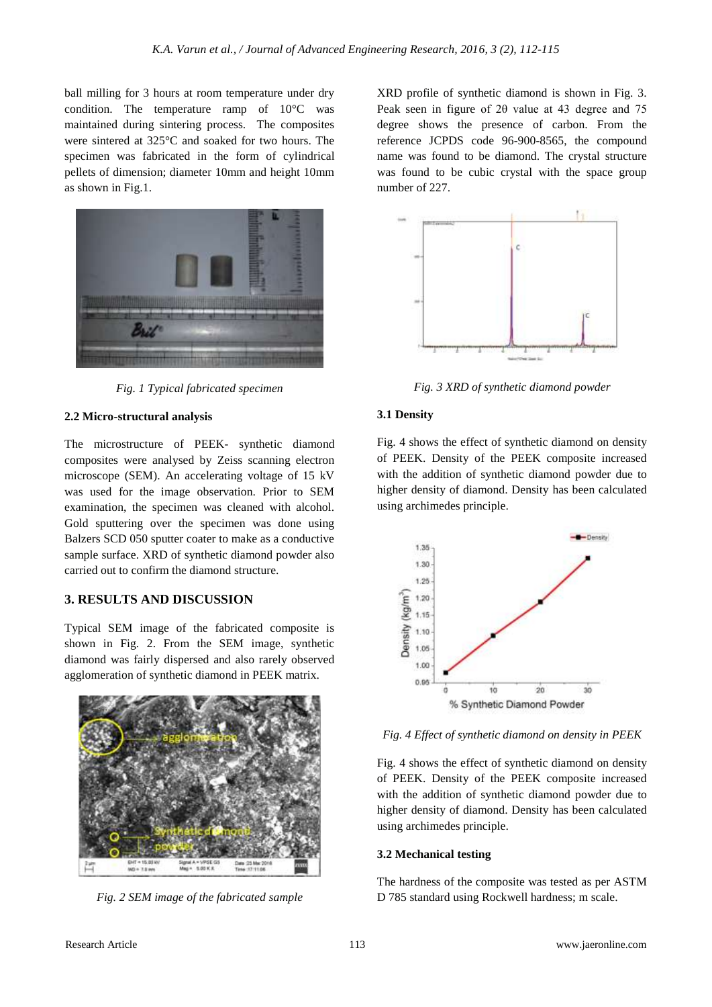ball milling for 3 hours at room temperature under dry condition. The temperature ramp of 10°C was maintained during sintering process. The composites were sintered at 325°C and soaked for two hours. The specimen was fabricated in the form of cylindrical pellets of dimension; diameter 10mm and height 10mm as shown in Fig.1.



*Fig. 1 Typical fabricated specimen*

# **2.2 Micro-structural analysis**

The microstructure of PEEK- synthetic diamond composites were analysed by Zeiss scanning electron microscope (SEM). An accelerating voltage of 15 kV was used for the image observation. Prior to SEM examination, the specimen was cleaned with alcohol. Gold sputtering over the specimen was done using Balzers SCD 050 sputter coater to make as a conductive sample surface. XRD of synthetic diamond powder also carried out to confirm the diamond structure.

# **3. RESULTS AND DISCUSSION**

Typical SEM image of the fabricated composite is shown in Fig. 2. From the SEM image, synthetic diamond was fairly dispersed and also rarely observed agglomeration of synthetic diamond in PEEK matrix.



*Fig. 2 SEM image of the fabricated sample*

XRD profile of synthetic diamond is shown in Fig. 3. Peak seen in figure of 2θ value at 43 degree and 75 degree shows the presence of carbon. From the reference JCPDS code 96-900-8565, the compound name was found to be diamond. The crystal structure was found to be cubic crystal with the space group number of 227.



*Fig. 3 XRD of synthetic diamond powder*

# **3.1 Density**

Fig. 4 shows the effect of synthetic diamond on density of PEEK. Density of the PEEK composite increased with the addition of synthetic diamond powder due to higher density of diamond. Density has been calculated using archimedes principle.



*Fig. 4 Effect of synthetic diamond on density in PEEK*

Fig. 4 shows the effect of synthetic diamond on density of PEEK. Density of the PEEK composite increased with the addition of synthetic diamond powder due to higher density of diamond. Density has been calculated using archimedes principle.

# **3.2 Mechanical testing**

The hardness of the composite was tested as per ASTM D 785 standard using Rockwell hardness; m scale.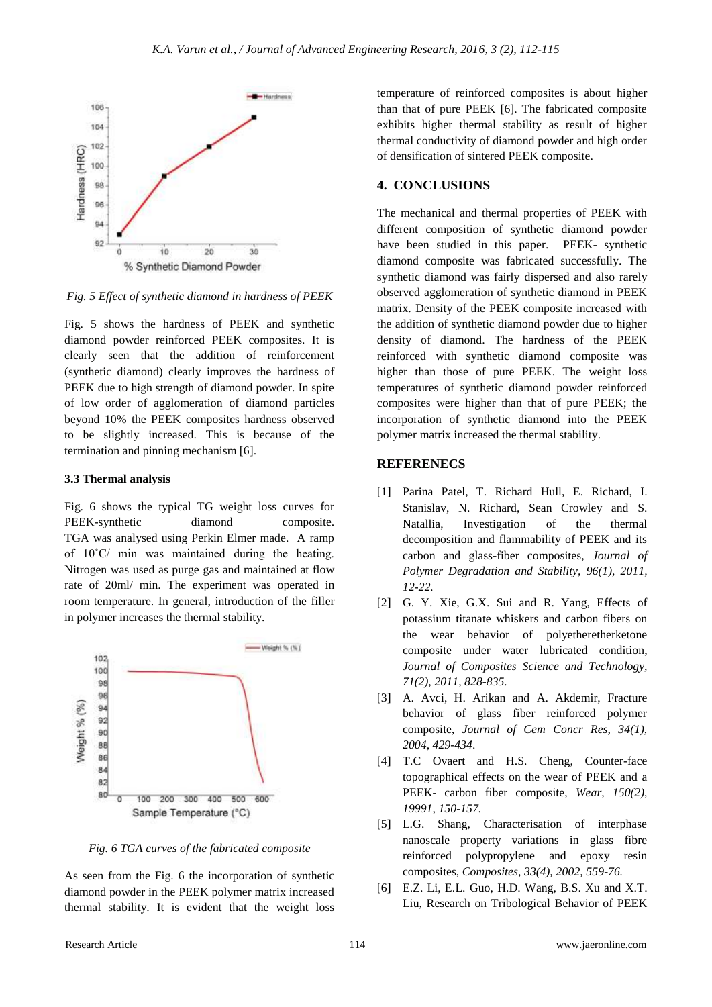

*Fig. 5 Effect of synthetic diamond in hardness of PEEK*

Fig. 5 shows the hardness of PEEK and synthetic diamond powder reinforced PEEK composites. It is clearly seen that the addition of reinforcement (synthetic diamond) clearly improves the hardness of PEEK due to high strength of diamond powder. In spite of low order of agglomeration of diamond particles beyond 10% the PEEK composites hardness observed to be slightly increased. This is because of the termination and pinning mechanism [6].

#### **3.3 Thermal analysis**

Fig. 6 shows the typical TG weight loss curves for PEEK-synthetic diamond composite. TGA was analysed using Perkin Elmer made. A ramp of 10˚C/ min was maintained during the heating. Nitrogen was used as purge gas and maintained at flow rate of 20ml/ min. The experiment was operated in room temperature. In general, introduction of the filler in polymer increases the thermal stability.



*Fig. 6 TGA curves of the fabricated composite*

As seen from the Fig. 6 the incorporation of synthetic diamond powder in the PEEK polymer matrix increased thermal stability. It is evident that the weight loss temperature of reinforced composites is about higher than that of pure PEEK [6]. The fabricated composite exhibits higher thermal stability as result of higher thermal conductivity of diamond powder and high order of densification of sintered PEEK composite.

#### **4. CONCLUSIONS**

The mechanical and thermal properties of PEEK with different composition of synthetic diamond powder have been studied in this paper. PEEK- synthetic diamond composite was fabricated successfully. The synthetic diamond was fairly dispersed and also rarely observed agglomeration of synthetic diamond in PEEK matrix. Density of the PEEK composite increased with the addition of synthetic diamond powder due to higher density of diamond. The hardness of the PEEK reinforced with synthetic diamond composite was higher than those of pure PEEK. The weight loss temperatures of synthetic diamond powder reinforced composites were higher than that of pure PEEK; the incorporation of synthetic diamond into the PEEK polymer matrix increased the thermal stability.

# **REFERENECS**

- [1] Parina Patel, T. Richard Hull, E. Richard, I. Stanislav, N. Richard, Sean Crowley and S. Natallia, Investigation of the thermal decomposition and flammability of PEEK and its carbon and glass-fiber composites, *Journal of Polymer Degradation and Stability, 96(1), 2011, 12-22.*
- [2] G. Y. Xie, G.X. Sui and R. Yang, Effects of potassium titanate whiskers and carbon fibers on the wear behavior of polyetheretherketone composite under water lubricated condition, *Journal of Composites Science and Technology, 71(2), 2011, 828-835.*
- [3] A. Avci, H. Arikan and A. Akdemir, Fracture behavior of glass fiber reinforced polymer composite, *Journal of Cem Concr Res, 34(1), 2004, 429-434*.
- [4] T.C Ovaert and H.S. Cheng, Counter-face topographical effects on the wear of PEEK and a PEEK- carbon fiber composite, *Wear, 150(2), 19991, 150-157.*
- [5] L.G. Shang, Characterisation of interphase nanoscale property variations in glass fibre reinforced polypropylene and epoxy resin composites, *Composites, 33(4), 2002, 559-76.*
- [6] E.Z. Li, E.L. Guo, H.D. Wang, B.S. Xu and X.T. Liu, Research on Tribological Behavior of PEEK